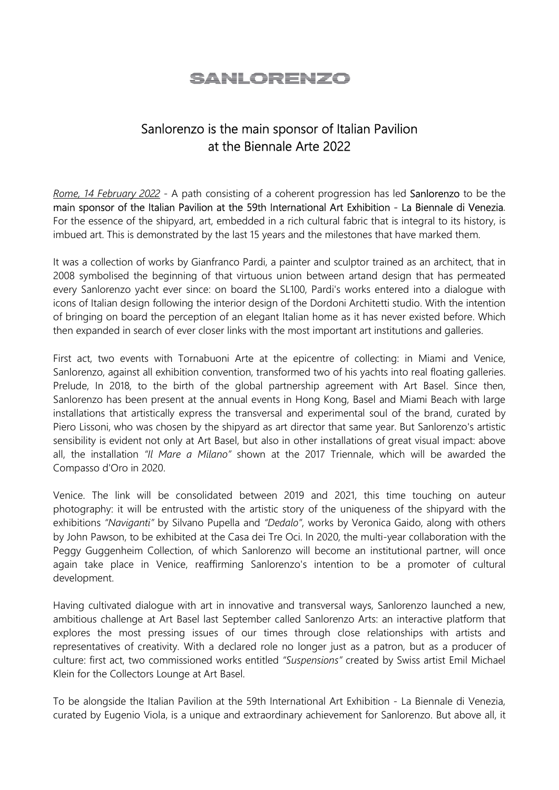## SANI ORENZO

## Sanlorenzo is the main sponsor of Italian Pavilion at the Biennale Arte 2022

Rome, 14 February 2022 - A path consisting of a coherent progression has led Sanlorenzo to be the main sponsor of the Italian Pavilion at the 59th International Art Exhibition - La Biennale di Venezia. For the essence of the shipyard, art, embedded in a rich cultural fabric that is integral to its history, is imbued art. This is demonstrated by the last 15 years and the milestones that have marked them.

It was a collection of works by Gianfranco Pardi, a painter and sculptor trained as an architect, that in 2008 symbolised the beginning of that virtuous union between artand design that has permeated every Sanlorenzo yacht ever since: on board the SL100, Pardi's works entered into a dialogue with icons of Italian design following the interior design of the Dordoni Architetti studio. With the intention of bringing on board the perception of an elegant Italian home as it has never existed before. Which then expanded in search of ever closer links with the most important art institutions and galleries.

First act, two events with Tornabuoni Arte at the epicentre of collecting: in Miami and Venice, Sanlorenzo, against all exhibition convention, transformed two of his yachts into real floating galleries. Prelude, In 2018, to the birth of the global partnership agreement with Art Basel. Since then, Sanlorenzo has been present at the annual events in Hong Kong, Basel and Miami Beach with large installations that artistically express the transversal and experimental soul of the brand, curated by Piero Lissoni, who was chosen by the shipyard as art director that same year. But Sanlorenzo's artistic sensibility is evident not only at Art Basel, but also in other installations of great visual impact: above all, the installation "Il Mare a Milano" shown at the 2017 Triennale, which will be awarded the Compasso d'Oro in 2020.

Venice. The link will be consolidated between 2019 and 2021, this time touching on auteur photography: it will be entrusted with the artistic story of the uniqueness of the shipyard with the exhibitions "Naviganti" by Silvano Pupella and "Dedalo", works by Veronica Gaido, along with others by John Pawson, to be exhibited at the Casa dei Tre Oci. In 2020, the multi-year collaboration with the Peggy Guggenheim Collection, of which Sanlorenzo will become an institutional partner, will once again take place in Venice, reaffirming Sanlorenzo's intention to be a promoter of cultural development.

Having cultivated dialogue with art in innovative and transversal ways, Sanlorenzo launched a new, ambitious challenge at Art Basel last September called Sanlorenzo Arts: an interactive platform that explores the most pressing issues of our times through close relationships with artists and representatives of creativity. With a declared role no longer just as a patron, but as a producer of culture: first act, two commissioned works entitled "Suspensions" created by Swiss artist Emil Michael Klein for the Collectors Lounge at Art Basel.

To be alongside the Italian Pavilion at the 59th International Art Exhibition - La Biennale di Venezia, curated by Eugenio Viola, is a unique and extraordinary achievement for Sanlorenzo. But above all, it